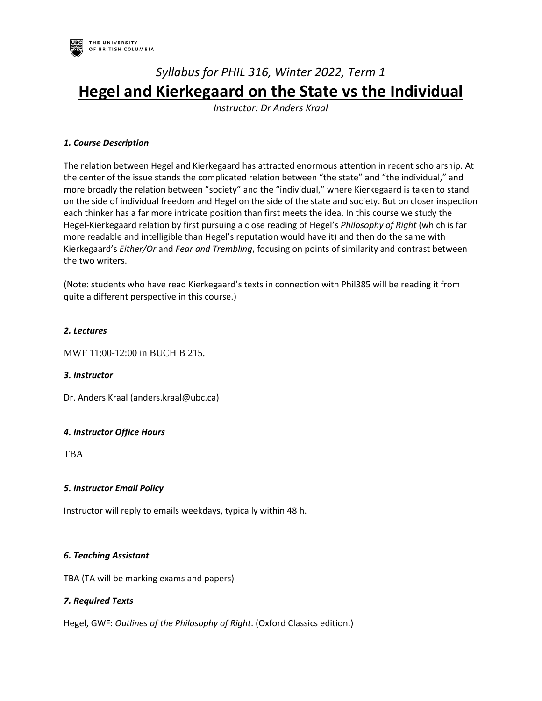

# *Syllabus for PHIL 316, Winter 2022, Term 1* **Hegel and Kierkegaard on the State vs the Individual**

*Instructor: Dr Anders Kraal*

# *1. Course Description*

The relation between Hegel and Kierkegaard has attracted enormous attention in recent scholarship. At the center of the issue stands the complicated relation between "the state" and "the individual," and more broadly the relation between "society" and the "individual," where Kierkegaard is taken to stand on the side of individual freedom and Hegel on the side of the state and society. But on closer inspection each thinker has a far more intricate position than first meets the idea. In this course we study the Hegel-Kierkegaard relation by first pursuing a close reading of Hegel's *Philosophy of Right* (which is far more readable and intelligible than Hegel's reputation would have it) and then do the same with Kierkegaard's *Either/Or* and *Fear and Trembling*, focusing on points of similarity and contrast between the two writers.

(Note: students who have read Kierkegaard's texts in connection with Phil385 will be reading it from quite a different perspective in this course.)

## *2. Lectures*

MWF 11:00-12:00 in BUCH B 215.

### *3. Instructor*

Dr. Anders Kraal (anders.kraal@ubc.ca)

### *4. Instructor Office Hours*

TBA

### *5. Instructor Email Policy*

Instructor will reply to emails weekdays, typically within 48 h.

### *6. Teaching Assistant*

TBA (TA will be marking exams and papers)

# *7. Required Texts*

Hegel, GWF: *Outlines of the Philosophy of Right*. (Oxford Classics edition.)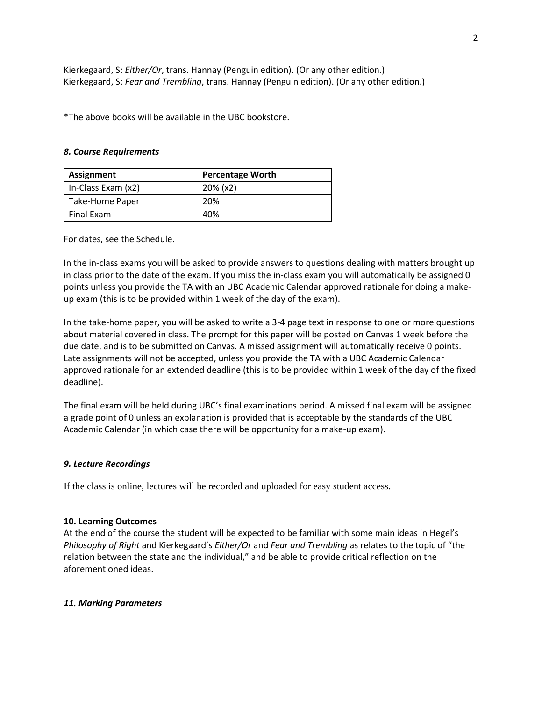Kierkegaard, S: *Either/Or*, trans. Hannay (Penguin edition). (Or any other edition.) Kierkegaard, S: *Fear and Trembling*, trans. Hannay (Penguin edition). (Or any other edition.)

\*The above books will be available in the UBC bookstore.

#### *8. Course Requirements*

| Assignment         | <b>Percentage Worth</b> |  |  |
|--------------------|-------------------------|--|--|
| In-Class Exam (x2) | 20% (x2)                |  |  |
| Take-Home Paper    | 20%                     |  |  |
| Final Exam         | 40%                     |  |  |

For dates, see the Schedule.

In the in-class exams you will be asked to provide answers to questions dealing with matters brought up in class prior to the date of the exam. If you miss the in-class exam you will automatically be assigned 0 points unless you provide the TA with an UBC Academic Calendar approved rationale for doing a makeup exam (this is to be provided within 1 week of the day of the exam).

In the take-home paper, you will be asked to write a 3-4 page text in response to one or more questions about material covered in class. The prompt for this paper will be posted on Canvas 1 week before the due date, and is to be submitted on Canvas. A missed assignment will automatically receive 0 points. Late assignments will not be accepted, unless you provide the TA with a UBC Academic Calendar approved rationale for an extended deadline (this is to be provided within 1 week of the day of the fixed deadline).

The final exam will be held during UBC's final examinations period. A missed final exam will be assigned a grade point of 0 unless an explanation is provided that is acceptable by the standards of the UBC Academic Calendar (in which case there will be opportunity for a make-up exam).

### *9. Lecture Recordings*

If the class is online, lectures will be recorded and uploaded for easy student access.

#### **10. Learning Outcomes**

At the end of the course the student will be expected to be familiar with some main ideas in Hegel's *Philosophy of Right* and Kierkegaard's *Either/Or* and *Fear and Trembling* as relates to the topic of "the relation between the state and the individual," and be able to provide critical reflection on the aforementioned ideas.

### *11. Marking Parameters*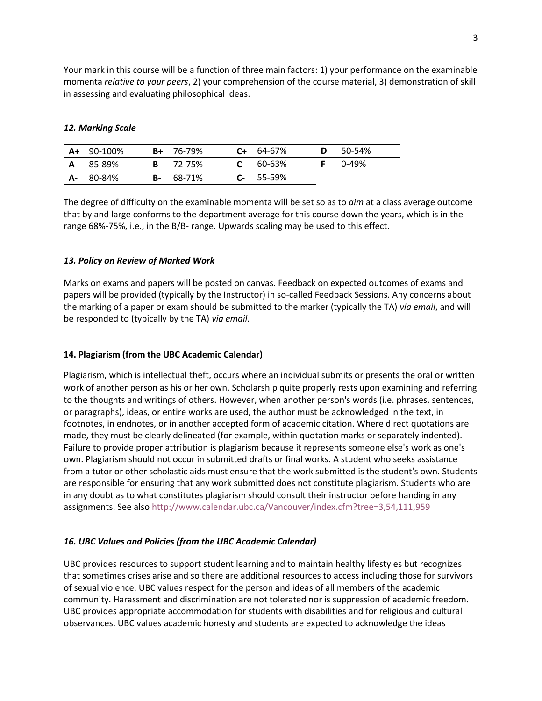Your mark in this course will be a function of three main factors: 1) your performance on the examinable momenta *relative to your peers*, 2) your comprehension of the course material, 3) demonstration of skill in assessing and evaluating philosophical ideas.

## *12. Marking Scale*

| $A+$  | 90-100% | $B+$ | 76-79% | $C+$ | 64-67% | D | 50-54% |
|-------|---------|------|--------|------|--------|---|--------|
| ΙA    | 85-89%  | В    | 72-75% |      | 60-63% |   | 0-49%  |
| $A -$ | 80-84%  | B-   | 68-71% |      | 55-59% |   |        |

The degree of difficulty on the examinable momenta will be set so as to *aim* at a class average outcome that by and large conforms to the department average for this course down the years, which is in the range 68%-75%, i.e., in the B/B- range. Upwards scaling may be used to this effect.

# *13. Policy on Review of Marked Work*

Marks on exams and papers will be posted on canvas. Feedback on expected outcomes of exams and papers will be provided (typically by the Instructor) in so-called Feedback Sessions. Any concerns about the marking of a paper or exam should be submitted to the marker (typically the TA) *via email*, and will be responded to (typically by the TA) *via email*.

## **14. Plagiarism (from the UBC Academic Calendar)**

Plagiarism, which is intellectual theft, occurs where an individual submits or presents the oral or written work of another person as his or her own. Scholarship quite properly rests upon examining and referring to the thoughts and writings of others. However, when another person's words (i.e. phrases, sentences, or paragraphs), ideas, or entire works are used, the author must be acknowledged in the text, in footnotes, in endnotes, or in another accepted form of academic citation. Where direct quotations are made, they must be clearly delineated (for example, within quotation marks or separately indented). Failure to provide proper attribution is plagiarism because it represents someone else's work as one's own. Plagiarism should not occur in submitted drafts or final works. A student who seeks assistance from a tutor or other scholastic aids must ensure that the work submitted is the student's own. Students are responsible for ensuring that any work submitted does not constitute plagiarism. Students who are in any doubt as to what constitutes plagiarism should consult their instructor before handing in any assignments. See als[o http://www.calendar.ubc.ca/Vancouver/index.cfm?tree=3,54,111,959](https://www.mail.ubc.ca/owa/redir.aspx?C=B-3ptwWTfR4VwFHemOMTx2sBIif-5klVD5WEO5CvwtMuOtEW5tLTCA..&URL=http%3a%2f%2fwww.calendar.ubc.ca%2fVancouver%2findex.cfm%3ftree%3d3%2c54%2c111%2c959)

### *16. UBC Values and Policies (from the UBC Academic Calendar)*

UBC provides resources to support student learning and to maintain healthy lifestyles but recognizes that sometimes crises arise and so there are additional resources to access including those for survivors of sexual violence. UBC values respect for the person and ideas of all members of the academic community. Harassment and discrimination are not tolerated nor is suppression of academic freedom. UBC provides appropriate accommodation for students with disabilities and for religious and cultural observances. UBC values academic honesty and students are expected to acknowledge the ideas